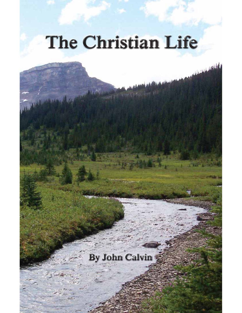# The Christian Life

March 1995 Harris

# By John Calvin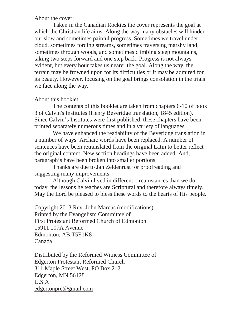About the cover:

Taken in the Canadian Rockies the cover represents the goal at which the Christian life aims. Along the way many obstacles will hinder our slow and sometimes painful progress. Sometimes we travel under cloud, sometimes fording streams, sometimes traversing marshy land, sometimes through woods, and sometimes climbing steep mountains, taking two steps forward and one step back. Progress is not always evident, but every hour takes us nearer the goal. Along the way, the terrain may be frowned upon for its difficulties or it may be admired for its beauty. However, focusing on the goal brings consolation in the trials we face along the way.

#### About this booklet:

The contents of this booklet are taken from chapters 6-10 of book 3 of Calvin's Institutes (Henry Beveridge translation, 1845 edition). Since Calvin's Institutes were first published, these chapters have been printed separately numerous times and in a variety of languages.

We have enhanced the readability of the Beveridge translation in a number of ways: Archaic words have been replaced. A number of sentences have been retranslated from the original Latin to better reflect the original content. New section headings have been added. And, paragraph's have been broken into smaller portions.

Thanks are due to Jan Zeldenrust for proofreading and suggesting many improvements.

Although Calvin lived in different circumstances than we do today, the lessons he teaches are Scriptural and therefore always timely. May the Lord be pleased to bless these words to the hearts of His people.

Copyright 2013 Rev. John Marcus (modifications) Printed by the Evangelism Committee of First Protestant Reformed Church of Edmonton 15911 107A Avenue Edmonton, AB T5E1K8 Canada

Distributed by the Reformed Witness Committee of Edgerton Protestant Reformed Church 311 Maple Street West, PO Box 212 Edgerton, MN 56128 U.S.A edgertonprc@gmail.com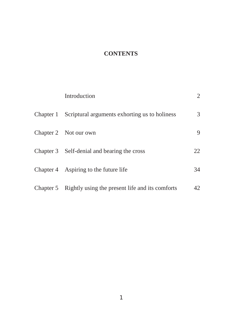# **CONTENTS**

| Introduction                                              | $\overline{2}$ |
|-----------------------------------------------------------|----------------|
| Chapter 1 Scriptural arguments exhorting us to holiness   | 3              |
| Chapter 2 Not our own                                     | 9              |
| Chapter 3 Self-denial and bearing the cross               | 22             |
| Chapter 4 Aspiring to the future life                     | 34             |
| Chapter 5 Rightly using the present life and its comforts | 42             |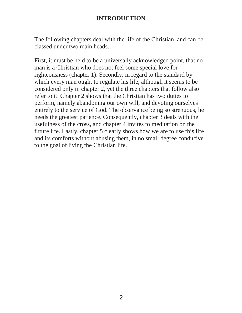# **INTRODUCTION**

The following chapters deal with the life of the Christian, and can be classed under two main heads.

First, it must be held to be a universally acknowledged point, that no man is a Christian who does not feel some special love for righteousness (chapter 1). Secondly, in regard to the standard by which every man ought to regulate his life, although it seems to be considered only in chapter 2, yet the three chapters that follow also refer to it. Chapter 2 shows that the Christian has two duties to perform, namely abandoning our own will, and devoting ourselves entirely to the service of God. The observance being so strenuous, he needs the greatest patience. Consequently, chapter 3 deals with the usefulness of the cross, and chapter 4 invites to meditation on the future life. Lastly, chapter 5 clearly shows how we are to use this life and its comforts without abusing them, in no small degree conducive to the goal of living the Christian life.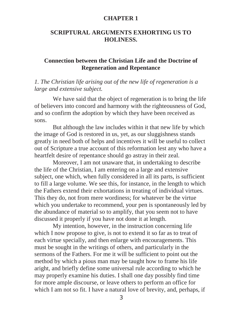# **CHAPTER 1**

# **SCRIPTURAL ARGUMENTS EXHORTING US TO HOLINESS.**

# **Connection between the Christian Life and the Doctrine of Regeneration and Repentance**

# *1. The Christian life arising out of the new life of regeneration is a large and extensive subject.*

We have said that the object of regeneration is to bring the life of believers into concord and harmony with the righteousness of God, and so confirm the adoption by which they have been received as sons.

But although the law includes within it that new life by which the image of God is restored in us, yet, as our sluggishness stands greatly in need both of helps and incentives it will be useful to collect out of Scripture a true account of this reformation lest any who have a heartfelt desire of repentance should go astray in their zeal.

Moreover, I am not unaware that, in undertaking to describe the life of the Christian, I am entering on a large and extensive subject, one which, when fully considered in all its parts, is sufficient to fill a large volume. We see this, for instance, in the length to which the Fathers extend their exhortations in treating of individual virtues. This they do, not from mere wordiness; for whatever be the virtue which you undertake to recommend, your pen is spontaneously led by the abundance of material so to amplify, that you seem not to have discussed it properly if you have not done it at length.

My intention, however, in the instruction concerning life which I now propose to give, is not to extend it so far as to treat of each virtue specially, and then enlarge with encouragements. This must be sought in the writings of others, and particularly in the sermons of the Fathers. For me it will be sufficient to point out the method by which a pious man may be taught how to frame his life aright, and briefly define some universal rule according to which he may properly examine his duties. I shall one day possibly find time for more ample discourse, or leave others to perform an office for which I am not so fit. I have a natural love of brevity, and, perhaps, if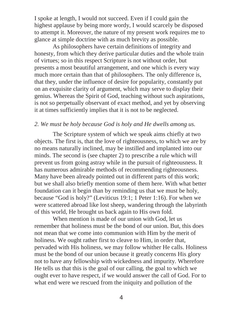I spoke at length, I would not succeed. Even if I could gain the highest applause by being more wordy, I would scarcely be disposed to attempt it. Moreover, the nature of my present work requires me to glance at simple doctrine with as much brevity as possible.

As philosophers have certain definitions of integrity and honesty, from which they derive particular duties and the whole train of virtues; so in this respect Scripture is not without order, but presents a most beautiful arrangement, and one which is every way much more certain than that of philosophers. The only difference is, that they, under the influence of desire for popularity, constantly put on an exquisite clarity of argument, which may serve to display their genius. Whereas the Spirit of God, teaching without such aspirations, is not so perpetually observant of exact method, and yet by observing it at times sufficiently implies that it is not to be neglected.

#### *2. We must be holy because God is holy and He dwells among us.*

The Scripture system of which we speak aims chiefly at two objects. The first is, that the love of righteousness, to which we are by no means naturally inclined, may be instilled and implanted into our minds. The second is (see chapter 2) to prescribe a rule which will prevent us from going astray while in the pursuit of righteousness. It has numerous admirable methods of recommending righteousness. Many have been already pointed out in different parts of this work; but we shall also briefly mention some of them here. With what better foundation can it begin than by reminding us that we must be holy, because "God is holy?" (Leviticus 19:1; 1 Peter 1:16). For when we were scattered abroad like lost sheep, wandering through the labyrinth of this world, He brought us back again to His own fold.

When mention is made of our union with God, let us remember that holiness must be the bond of our union. But, this does not mean that we come into communion with Him by the merit of holiness. We ought rather first to cleave to Him, in order that, pervaded with His holiness, we may follow whither He calls. Holiness must be the bond of our union because it greatly concerns His glory not to have any fellowship with wickedness and impurity. Wherefore He tells us that this is the goal of our calling, the goal to which we ought ever to have respect, if we would answer the call of God. For to what end were we rescued from the iniquity and pollution of the

4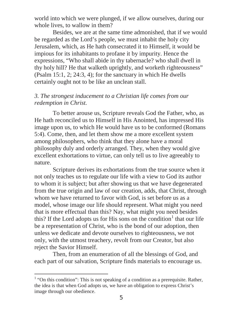world into which we were plunged, if we allow ourselves, during our whole lives, to wallow in them?

Besides, we are at the same time admonished, that if we would be regarded as the Lord's people, we must inhabit the holy city Jerusalem, which, as He hath consecrated it to Himself, it would be impious for its inhabitants to profane it by impurity. Hence the expressions, "Who shall abide in thy tabernacle? who shall dwell in thy holy hill? He that walketh uprightly, and worketh righteousness" (Psalm 15:1, 2; 24:3, 4); for the sanctuary in which He dwells certainly ought not to be like an unclean stall.

### *3. The strongest inducement to a Christian life comes from our redemption in Christ.*

To better arouse us, Scripture reveals God the Father, who, as He hath reconciled us to Himself in His Anointed, has impressed His image upon us, to which He would have us to be conformed (Romans 5:4). Come, then, and let them show me a more excellent system among philosophers, who think that they alone have a moral philosophy duly and orderly arranged. They, when they would give excellent exhortations to virtue, can only tell us to live agreeably to nature.

Scripture derives its exhortations from the true source when it not only teaches us to regulate our life with a view to God its author to whom it is subject; but after showing us that we have degenerated from the true origin and law of our creation, adds, that Christ, through whom we have returned to favor with God, is set before us as a model, whose image our life should represent. What might you need that is more effectual than this? Nay, what might you need besides this? If the Lord adopts us for His sons on the condition<sup>1</sup> that our life be a representation of Christ, who is the bond of our adoption, then unless we dedicate and devote ourselves to righteousness, we not only, with the utmost treachery, revolt from our Creator, but also reject the Savior Himself.

Then, from an enumeration of all the blessings of God, and each part of our salvation, Scripture finds materials to encourage us.

 $<sup>1</sup>$  "On this condition": This is not speaking of a condition as a prerequisite. Rather,</sup> the idea is that when God adopts us, we have an obligation to express Christ's image through our obedience.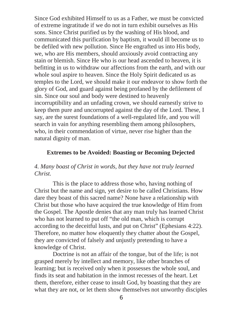Since God exhibited Himself to us as a Father, we must be convicted of extreme ingratitude if we do not in turn exhibit ourselves as His sons. Since Christ purified us by the washing of His blood, and communicated this purification by baptism, it would ill become us to be defiled with new pollution. Since He engrafted us into His body, we, who are His members, should anxiously avoid contracting any stain or blemish. Since He who is our head ascended to heaven, it is befitting in us to withdraw our affections from the earth, and with our whole soul aspire to heaven. Since the Holy Spirit dedicated us as temples to the Lord, we should make it our endeavor to show forth the glory of God, and guard against being profaned by the defilement of sin. Since our soul and body were destined to heavenly incorruptibility and an unfading crown, we should earnestly strive to keep them pure and uncorrupted against the day of the Lord. These, I say, are the surest foundations of a well-regulated life, and you will search in vain for anything resembling them among philosophers, who, in their commendation of virtue, never rise higher than the natural dignity of man.

# **Extremes to be Avoided: Boasting or Becoming Dejected**

# *4. Many boast of Christ in words, but they have not truly learned Christ.*

This is the place to address those who, having nothing of Christ but the name and sign, yet desire to be called Christians. How dare they boast of this sacred name? None have a relationship with Christ but those who have acquired the true knowledge of Him from the Gospel. The Apostle denies that any man truly has learned Christ who has not learned to put off "the old man, which is corrupt according to the deceitful lusts, and put on Christ" (Ephesians 4:22). Therefore, no matter how eloquently they chatter about the Gospel, they are convicted of falsely and unjustly pretending to have a knowledge of Christ.

Doctrine is not an affair of the tongue, but of the life; is not grasped merely by intellect and memory, like other branches of learning; but is received only when it possesses the whole soul, and finds its seat and habitation in the inmost recesses of the heart. Let them, therefore, either cease to insult God, by boasting that they are what they are not, or let them show themselves not unworthy disciples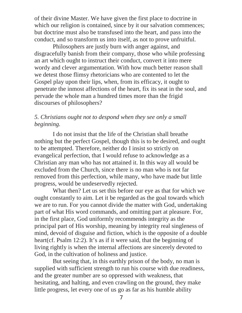of their divine Master. We have given the first place to doctrine in which our religion is contained, since by it our salvation commences; but doctrine must also be transfused into the heart, and pass into the conduct, and so transform us into itself, as not to prove unfruitful.

Philosophers are justly burn with anger against, and disgracefully banish from their company, those who while professing an art which ought to instruct their conduct, convert it into mere wordy and clever argumentation. With how much better reason shall we detest those flimsy rhetoricians who are contented to let the Gospel play upon their lips, when, from its efficacy, it ought to penetrate the inmost affections of the heart, fix its seat in the soul, and pervade the whole man a hundred times more than the frigid discourses of philosophers?

# *5. Christians ought not to despond when they see only a small beginning.*

I do not insist that the life of the Christian shall breathe nothing but the perfect Gospel, though this is to be desired, and ought to be attempted. Therefore, neither do I insist so strictly on evangelical perfection, that I would refuse to acknowledge as a Christian any man who has not attained it. In this way all would be excluded from the Church, since there is no man who is not far removed from this perfection, while many, who have made but little progress, would be undeservedly rejected.

What then? Let us set this before our eye as that for which we ought constantly to aim. Let it be regarded as the goal towards which we are to run. For you cannot divide the matter with God, undertaking part of what His word commands, and omitting part at pleasure. For, in the first place, God uniformly recommends integrity as the principal part of His worship, meaning by integrity real singleness of mind, devoid of disguise and fiction, which is the opposite of a double heart(cf. Psalm 12:2). It's as if it were said, that the beginning of living rightly is when the internal affections are sincerely devoted to God, in the cultivation of holiness and justice.

But seeing that, in this earthly prison of the body, no man is supplied with sufficient strength to run his course with due readiness, and the greater number are so oppressed with weakness, that hesitating, and halting, and even crawling on the ground, they make little progress, let every one of us go as far as his humble ability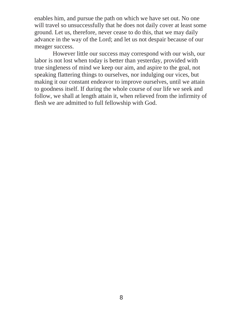enables him, and pursue the path on which we have set out. No one will travel so unsuccessfully that he does not daily cover at least some ground. Let us, therefore, never cease to do this, that we may daily advance in the way of the Lord; and let us not despair because of our meager success.

However little our success may correspond with our wish, our labor is not lost when today is better than yesterday, provided with true singleness of mind we keep our aim, and aspire to the goal, not speaking flattering things to ourselves, nor indulging our vices, but making it our constant endeavor to improve ourselves, until we attain to goodness itself. If during the whole course of our life we seek and follow, we shall at length attain it, when relieved from the infirmity of flesh we are admitted to full fellowship with God.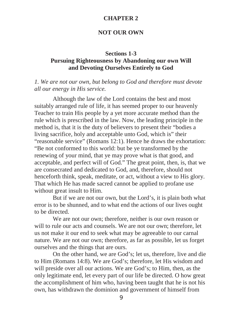#### **CHAPTER 2**

# **NOT OUR OWN**

#### **Sections 1-3**

# **Pursuing Righteousness by Abandoning our own Will and Devoting Ourselves Entirely to God**

# *1. We are not our own, but belong to God and therefore must devote all our energy in His service.*

Although the law of the Lord contains the best and most suitably arranged rule of life, it has seemed proper to our heavenly Teacher to train His people by a yet more accurate method than the rule which is prescribed in the law. Now, the leading principle in the method is, that it is the duty of believers to present their "bodies a living sacrifice, holy and acceptable unto God, which is" their "reasonable service" (Romans 12:1). Hence he draws the exhortation: "Be not conformed to this world: but be ye transformed by the renewing of your mind, that ye may prove what is that good, and acceptable, and perfect will of God." The great point, then, is, that we are consecrated and dedicated to God, and, therefore, should not henceforth think, speak, meditate, or act, without a view to His glory. That which He has made sacred cannot be applied to profane use without great insult to Him.

But if we are not our own, but the Lord's, it is plain both what error is to be shunned, and to what end the actions of our lives ought to be directed.

We are not our own; therefore, neither is our own reason or will to rule our acts and counsels. We are not our own; therefore, let us not make it our end to seek what may be agreeable to our carnal nature. We are not our own; therefore, as far as possible, let us forget ourselves and the things that are ours.

On the other hand, we are God's; let us, therefore, live and die to Him (Romans 14:8). We are God's; therefore, let His wisdom and will preside over all our actions. We are God's; to Him, then, as the only legitimate end, let every part of our life be directed. O how great the accomplishment of him who, having been taught that he is not his own, has withdrawn the dominion and government of himself from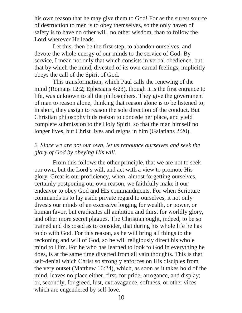his own reason that he may give them to God! For as the surest source of destruction to men is to obey themselves, so the only haven of safety is to have no other will, no other wisdom, than to follow the Lord wherever He leads.

Let this, then be the first step, to abandon ourselves, and devote the whole energy of our minds to the service of God. By service, I mean not only that which consists in verbal obedience, but that by which the mind, divested of its own carnal feelings, implicitly obeys the call of the Spirit of God.

This transformation, which Paul calls the renewing of the mind (Romans 12:2; Ephesians 4:23), though it is the first entrance to life, was unknown to all the philosophers. They give the government of man to reason alone, thinking that reason alone is to be listened to; in short, they assign to reason the sole direction of the conduct. But Christian philosophy bids reason to concede her place, and yield complete submission to the Holy Spirit, so that the man himself no longer lives, but Christ lives and reigns in him (Galatians 2:20).

# *2. Since we are not our own, let us renounce ourselves and seek the glory of God by obeying His will.*

From this follows the other principle, that we are not to seek our own, but the Lord's will, and act with a view to promote His glory. Great is our proficiency, when, almost forgetting ourselves, certainly postponing our own reason, we faithfully make it our endeavor to obey God and His commandments. For when Scripture commands us to lay aside private regard to ourselves, it not only divests our minds of an excessive longing for wealth, or power, or human favor, but eradicates all ambition and thirst for worldly glory, and other more secret plagues. The Christian ought, indeed, to be so trained and disposed as to consider, that during his whole life he has to do with God. For this reason, as he will bring all things to the reckoning and will of God, so he will religiously direct his whole mind to Him. For he who has learned to look to God in everything he does, is at the same time diverted from all vain thoughts. This is that self-denial which Christ so strongly enforces on His disciples from the very outset (Matthew 16:24), which, as soon as it takes hold of the mind, leaves no place either, first, for pride, arrogance, and display; or, secondly, for greed, lust, extravagance, softness, or other vices which are engendered by self-love.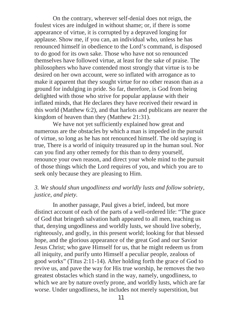On the contrary, wherever self-denial does not reign, the foulest vices are indulged in without shame; or, if there is some appearance of virtue, it is corrupted by a depraved longing for applause. Show me, if you can, an individual who, unless he has renounced himself in obedience to the Lord's command, is disposed to do good for its own sake. Those who have not so renounced themselves have followed virtue, at least for the sake of praise. The philosophers who have contended most strongly that virtue is to be desired on her own account, were so inflated with arrogance as to make it apparent that they sought virtue for no other reason than as a ground for indulging in pride. So far, therefore, is God from being delighted with those who strive for popular applause with their inflated minds, that He declares they have received their reward in this world (Matthew 6:2), and that harlots and publicans are nearer the kingdom of heaven than they (Matthew 21:31).

We have not yet sufficiently explained how great and numerous are the obstacles by which a man is impeded in the pursuit of virtue, so long as he has not renounced himself. The old saying is true, There is a world of iniquity treasured up in the human soul. Nor can you find any other remedy for this than to deny yourself, renounce your own reason, and direct your whole mind to the pursuit of those things which the Lord requires of you, and which you are to seek only because they are pleasing to Him.

# *3. We should shun ungodliness and worldly lusts and follow sobriety, justice, and piety.*

In another passage, Paul gives a brief, indeed, but more distinct account of each of the parts of a well-ordered life: "The grace of God that bringeth salvation hath appeared to all men, teaching us that, denying ungodliness and worldly lusts, we should live soberly, righteously, and godly, in this present world; looking for that blessed hope, and the glorious appearance of the great God and our Savior Jesus Christ; who gave Himself for us, that he might redeem us from all iniquity, and purify unto Himself a peculiar people, zealous of good works" (Titus 2:11-14). After holding forth the grace of God to revive us, and pave the way for His true worship, he removes the two greatest obstacles which stand in the way, namely, ungodliness, to which we are by nature overly prone, and worldly lusts, which are far worse. Under ungodliness, he includes not merely superstition, but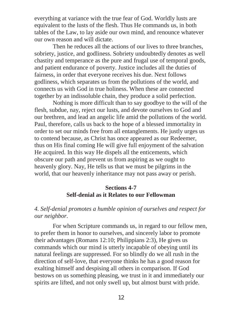everything at variance with the true fear of God. Worldly lusts are equivalent to the lusts of the flesh. Thus He commands us, in both tables of the Law, to lay aside our own mind, and renounce whatever our own reason and will dictate.

Then he reduces all the actions of our lives to three branches, sobriety, justice, and godliness. Sobriety undoubtedly denotes as well chastity and temperance as the pure and frugal use of temporal goods, and patient endurance of poverty. Justice includes all the duties of fairness, in order that everyone receives his due. Next follows godliness, which separates us from the pollutions of the world, and connects us with God in true holiness. When these are connected together by an indissoluble chain, they produce a solid perfection.

Nothing is more difficult than to say goodbye to the will of the flesh, subdue, nay, reject our lusts, and devote ourselves to God and our brethren, and lead an angelic life amid the pollutions of the world. Paul, therefore, calls us back to the hope of a blessed immortality in order to set our minds free from all entanglements. He justly urges us to contend because, as Christ has once appeared as our Redeemer, thus on His final coming He will give full enjoyment of the salvation He acquired. In this way He dispels all the enticements, which obscure our path and prevent us from aspiring as we ought to heavenly glory. Nay, He tells us that we must be pilgrims in the world, that our heavenly inheritance may not pass away or perish.

# **Sections 4-7 Self-denial as it Relates to our Fellowman**

# *4. Self-denial promotes a humble opinion of ourselves and respect for our neighbor.*

For when Scripture commands us, in regard to our fellow men, to prefer them in honor to ourselves, and sincerely labor to promote their advantages (Romans 12:10; Philippians 2:3), He gives us commands which our mind is utterly incapable of obeying until its natural feelings are suppressed. For so blindly do we all rush in the direction of self-love, that everyone thinks he has a good reason for exalting himself and despising all others in comparison. If God bestows on us something pleasing, we trust in it and immediately our spirits are lifted, and not only swell up, but almost burst with pride.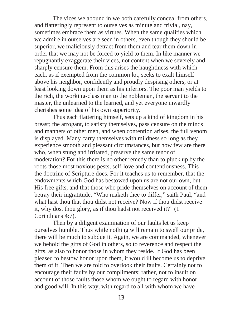The vices we abound in we both carefully conceal from others, and flatteringly represent to ourselves as minute and trivial, nay, sometimes embrace them as virtues. When the same qualities which we admire in ourselves are seen in others, even though they should be superior, we maliciously detract from them and tear them down in order that we may not be forced to yield to them. In like manner we repugnantly exaggerate their vices, not content when we severely and sharply censure them. From this arises the haughtiness with which each, as if exempted from the common lot, seeks to exalt himself above his neighbor, confidently and proudly despising others, or at least looking down upon them as his inferiors. The poor man yields to the rich, the working-class man to the nobleman, the servant to the master, the unlearned to the learned, and yet everyone inwardly cherishes some idea of his own superiority.

Thus each flattering himself, sets up a kind of kingdom in his breast; the arrogant, to satisfy themselves, pass censure on the minds and manners of other men, and when contention arises, the full venom is displayed. Many carry themselves with mildness so long as they experience smooth and pleasant circumstances, but how few are there who, when stung and irritated, preserve the same tenor of moderation? For this there is no other remedy than to pluck up by the roots those most noxious pests, self-love and contentiousness. This the doctrine of Scripture does. For it teaches us to remember, that the endowments which God has bestowed upon us are not our own, but His free gifts, and that those who pride themselves on account of them betray their ingratitude. "Who maketh thee to differ," saith Paul, "and what hast thou that thou didst not receive? Now if thou didst receive it, why dost thou glory, as if thou hadst not received it?" (1 Corinthians 4:7).

Then by a diligent examination of our faults let us keep ourselves humble. Thus while nothing will remain to swell our pride, there will be much to subdue it. Again, we are commanded, whenever we behold the gifts of God in others, so to reverence and respect the gifts, as also to honor those in whom they reside. If God has been pleased to bestow honor upon them, it would ill become us to deprive them of it. Then we are told to overlook their faults. Certainly not to encourage their faults by our compliments; rather, not to insult on account of those faults those whom we ought to regard with honor and good will. In this way, with regard to all with whom we have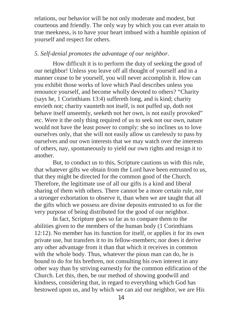relations, our behavior will be not only moderate and modest, but courteous and friendly. The only way by which you can ever attain to true meekness, is to have your heart imbued with a humble opinion of yourself and respect for others.

# *5. Self-denial promotes the advantage of our neighbor.*

How difficult it is to perform the duty of seeking the good of our neighbor! Unless you leave off all thought of yourself and in a manner cease to be yourself, you will never accomplish it. How can you exhibit those works of love which Paul describes unless you renounce yourself, and become wholly devoted to others? "Charity (says he, 1 Corinthians 13:4) suffereth long, and is kind; charity envieth not; charity vaunteth not itself, is not puffed up, doth not behave itself unseemly, seeketh not her own, is not easily provoked" etc. Were it the only thing required of us to seek not our own, nature would not have the least power to comply: she so inclines us to love ourselves only, that she will not easily allow us carelessly to pass by ourselves and our own interests that we may watch over the interests of others, nay, spontaneously to yield our own rights and resign it to another.

But, to conduct us to this, Scripture cautions us with this rule, that whatever gifts we obtain from the Lord have been entrusted to us, that they might be directed for the common good of the Church. Therefore, the legitimate use of all our gifts is a kind and liberal sharing of them with others. There cannot be a more certain rule, nor a stronger exhortation to observe it, than when we are taught that all the gifts which we possess are divine deposits entrusted to us for the very purpose of being distributed for the good of our neighbor.

In fact, Scripture goes so far as to compare them to the abilities given to the members of the human body (1 Corinthians 12:12). No member has its function for itself, or applies it for its own private use, but transfers it to its fellow-members; nor does it derive any other advantage from it than that which it receives in common with the whole body. Thus, whatever the pious man can do, he is bound to do for his brethren, not consulting his own interest in any other way than by striving earnestly for the common edification of the Church. Let this, then, be our method of showing goodwill and kindness, considering that, in regard to everything which God has bestowed upon us, and by which we can aid our neighbor, we are His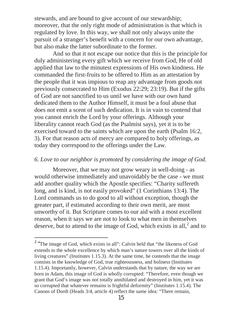stewards, and are bound to give account of our stewardship; moreover, that the only right mode of administration is that which is regulated by love. In this way, we shall not only always unite the pursuit of a stranger's benefit with a concern for our own advantage, but also make the latter subordinate to the former.

And so that it not escape our notice that this is the principle for duly administering every gift which we receive from God, He of old applied that law to the minutest expressions of His own kindness. He commanded the first-fruits to be offered to Him as an attestation by the people that it was impious to reap any advantage from goods not previously consecrated to Him (Exodus 22:29; 23:19). But if the gifts of God are not sanctified to us until we have with our own hand dedicated them to the Author Himself, it must be a foul abuse that does not emit a scent of such dedication. It is in vain to contend that you cannot enrich the Lord by your offerings. Although your liberality cannot reach God (as the Psalmist says), yet it is to be exercised toward to the saints which are upon the earth (Psalm 16:2, 3). For that reason acts of mercy are compared to holy offerings, as today they correspond to the offerings under the Law.

#### *6. Love to our neighbor is promoted by considering the image of God.*

Moreover, that we may not grow weary in well-doing - as would otherwise immediately and unavoidably be the case - we must add another quality which the Apostle specifies: "Charity suffereth long, and is kind, is not easily provoked" (1 Corinthians 13:4). The Lord commands us to do good to all without exception, though the greater part, if estimated according to their own merit, are most unworthy of it. But Scripture comes to our aid with a most excellent reason, when it says we are not to look to what men in themselves deserve, but to attend to the image of God, which exists in all, $<sup>2</sup>$  and to</sup>

 $2$  "The image of God, which exists in all": Calvin held that "the likeness of God extends to the whole excellence by which man's nature towers over all the kinds of living creatures" (Institutes 1.15.3). At the same time, he contends that the image consists in the knowledge of God, true righteousness, and holiness (Institutes 1.15.4). Importantly, however, Calvin understands that by nature, the way we are born in Adam, this image of God is wholly corrupted: "Therefore, even though we grant that God's image was not totally annihilated and destroyed in him, yet it was so corrupted that whatever remains is frightful deformity" (Institutes 1.15.4). The Canons of Dordt (Heads 3/4, article 4) reflect the same idea: "There remain,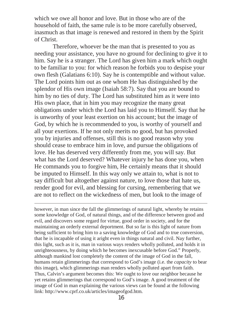which we owe all honor and love. But in those who are of the household of faith, the same rule is to be more carefully observed, inasmuch as that image is renewed and restored in them by the Spirit of Christ.

Therefore, whoever be the man that is presented to you as needing your assistance, you have no ground for declining to give it to him. Say he is a stranger. The Lord has given him a mark which ought to be familiar to you: for which reason he forbids you to despise your own flesh (Galatians 6:10). Say he is contemptible and without value. The Lord points him out as one whom He has distinguished by the splendor of His own image (Isaiah 58:7). Say that you are bound to him by no ties of duty. The Lord has substituted him as it were into His own place, that in him you may recognize the many great obligations under which the Lord has laid you to Himself. Say that he is unworthy of your least exertion on his account; but the image of God, by which he is recommended to you, is worthy of yourself and all your exertions. If he not only merits no good, but has provoked you by injuries and offenses, still this is no good reason why you should cease to embrace him in love, and pursue the obligations of love. He has deserved very differently from me, you will say. But what has the Lord deserved? Whatever injury he has done you, when He commands you to forgive him, He certainly means that it should be imputed to Himself. In this way only we attain to, what is not to say difficult but altogether against nature, to love those that hate us, render good for evil, and blessing for cursing, remembering that we are not to reflect on the wickedness of men, but look to the image of

however, in man since the fall the glimmerings of natural light, whereby he retains some knowledge of God, of natural things, and of the difference between good and evil, and discovers some regard for virtue, good order in society, and for the maintaining an orderly external deportment. But so far is this light of nature from being sufficient to bring him to a saving knowledge of God and to true conversion, that he is incapable of using it aright even in things natural and civil. Nay further, this light, such as it is, man in various ways renders wholly polluted, and holds it in unrighteousness, by doing which he becomes inexcusable before God." Properly, although mankind lost completely the content of the image of God in the fall, humans retain glimmerings that correspond to God's image (i.e. the *capacity* to bear this image), which glimmerings man renders wholly polluted apart from faith. Thus, Calvin's argument becomes this: We ought to love our neighbor because he yet retains glimmerings that correspond to God's image. A good treatment of the image of God in man explaining the various views can be found at the following link: http://www.cprf.co.uk/articles/imageofgod.htm.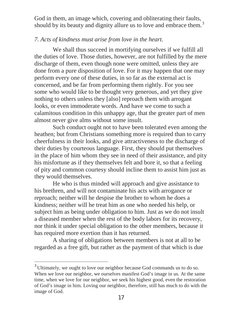God in them, an image which, covering and obliterating their faults, should by its beauty and dignity allure us to love and embrace them.<sup>3</sup>

# *7. Acts of kindness must arise from love in the heart.*

We shall thus succeed in mortifying ourselves if we fulfill all the duties of love. Those duties, however, are not fulfilled by the mere discharge of them, even though none were omitted, unless they are done from a pure disposition of love. For it may happen that one may perform every one of these duties, in so far as the external act is concerned, and be far from performing them rightly. For you see some who would like to be thought very generous, and yet they give nothing to others unless they [also] reproach them with arrogant looks, or even immoderate words. And have we come to such a calamitous condition in this unhappy age, that the greater part of men almost never give alms without some insult.

Such conduct ought not to have been tolerated even among the heathen; but from Christians something more is required than to carry cheerfulness in their looks, and give attractiveness to the discharge of their duties by courteous language. First, they should put themselves in the place of him whom they see in need of their assistance, and pity his misfortune as if they themselves felt and bore it, so that a feeling of pity and common courtesy should incline them to assist him just as they would themselves.

He who is thus minded will approach and give assistance to his brethren, and will not contaminate his acts with arrogance or reproach; neither will he despise the brother to whom he does a kindness; neither will he treat him as one who needed his help, or subject him as being under obligation to him. Just as we do not insult a diseased member when the rest of the body labors for its recovery, nor think it under special obligation to the other members, because it has required more exertion than it has returned.

A sharing of obligations between members is not at all to be regarded as a free gift, but rather as the payment of that which is due

 $3$  Ultimately, we ought to love our neighbor because God commands us to do so. When we love our neighbor, we ourselves manifest God's image in us. At the same time, when we love for our neighbor, we seek his highest good, even the restoration of God's image in him. Loving our neighbor, therefore, still has much to do with the image of God.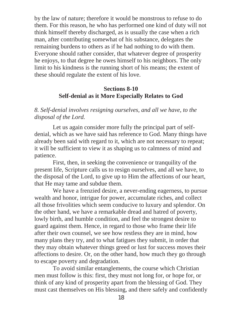by the law of nature; therefore it would be monstrous to refuse to do them. For this reason, he who has performed one kind of duty will not think himself thereby discharged, as is usually the case when a rich man, after contributing somewhat of his substance, delegates the remaining burdens to others as if he had nothing to do with them. Everyone should rather consider, that whatever degree of prosperity he enjoys, to that degree he owes himself to his neighbors. The only limit to his kindness is the running short of his means; the extent of these should regulate the extent of his love.

# **Sections 8-10 Self-denial as it More Especially Relates to God**

*8. Self-denial involves resigning ourselves, and all we have, to the disposal of the Lord.*

Let us again consider more fully the principal part of selfdenial, which as we have said has reference to God. Many things have already been said with regard to it, which are not necessary to repeat; it will be sufficient to view it as shaping us to calmness of mind and patience.

First, then, in seeking the convenience or tranquility of the present life, Scripture calls us to resign ourselves, and all we have, to the disposal of the Lord, to give up to Him the affections of our heart, that He may tame and subdue them.

We have a frenzied desire, a never-ending eagerness, to pursue wealth and honor, intrigue for power, accumulate riches, and collect all those frivolities which seem conducive to luxury and splendor. On the other hand, we have a remarkable dread and hatred of poverty, lowly birth, and humble condition, and feel the strongest desire to guard against them. Hence, in regard to those who frame their life after their own counsel, we see how restless they are in mind, how many plans they try, and to what fatigues they submit, in order that they may obtain whatever things greed or lust for success moves their affections to desire. Or, on the other hand, how much they go through to escape poverty and degradation.

To avoid similar entanglements, the course which Christian men must follow is this: first, they must not long for, or hope for, or think of any kind of prosperity apart from the blessing of God. They must cast themselves on His blessing, and there safely and confidently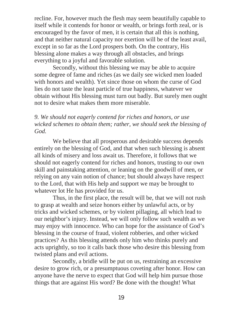recline. For, however much the flesh may seem beautifully capable to itself while it contends for honor or wealth, or brings forth zeal, or is encouraged by the favor of men, it is certain that all this is nothing, and that neither natural capacity nor exertion will be of the least avail, except in so far as the Lord prospers both. On the contrary, His blessing alone makes a way through all obstacles, and brings everything to a joyful and favorable solution.

Secondly, without this blessing we may be able to acquire some degree of fame and riches (as we daily see wicked men loaded with honors and wealth). Yet since those on whom the curse of God lies do not taste the least particle of true happiness, whatever we obtain without His blessing must turn out badly. But surely men ought not to desire what makes them more miserable.

# *9. We should not eagerly contend for riches and honors, or use wicked schemes to obtain them; rather, we should seek the blessing of God.*

We believe that all prosperous and desirable success depends entirely on the blessing of God, and that when such blessing is absent all kinds of misery and loss await us. Therefore, it follows that we should not eagerly contend for riches and honors, trusting to our own skill and painstaking attention, or leaning on the goodwill of men, or relying on any vain notion of chance; but should always have respect to the Lord, that with His help and support we may be brought to whatever lot He has provided for us.

Thus, in the first place, the result will be, that we will not rush to grasp at wealth and seize honors either by unlawful acts, or by tricks and wicked schemes, or by violent pillaging, all which lead to our neighbor's injury. Instead, we will only follow such wealth as we may enjoy with innocence. Who can hope for the assistance of God's blessing in the course of fraud, violent robberies, and other wicked practices? As this blessing attends only him who thinks purely and acts uprightly, so too it calls back those who desire this blessing from twisted plans and evil actions.

Secondly, a bridle will be put on us, restraining an excessive desire to grow rich, or a presumptuous coveting after honor. How can anyone have the nerve to expect that God will help him pursue those things that are against His word? Be done with the thought! What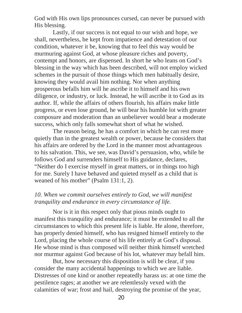God with His own lips pronounces cursed, can never be pursued with His blessing.

Lastly, if our success is not equal to our wish and hope, we shall, nevertheless, be kept from impatience and detestation of our condition, whatever it be, knowing that to feel this way would be murmuring against God, at whose pleasure riches and poverty, contempt and honors, are dispensed. In short he who leans on God's blessing in the way which has been described, will not employ wicked schemes in the pursuit of those things which men habitually desire, knowing they would avail him nothing. Nor when anything prosperous befalls him will he ascribe it to himself and his own diligence, or industry, or luck. Instead, he will ascribe it to God as its author. If, while the affairs of others flourish, his affairs make little progress, or even lose ground, he will bear his humble lot with greater composure and moderation than an unbeliever would bear a moderate success, which only falls somewhat short of what he wished.

The reason being, he has a comfort in which he can rest more quietly than in the greatest wealth or power, because he considers that his affairs are ordered by the Lord in the manner most advantageous to his salvation. This, we see, was David's persuasion, who, while he follows God and surrenders himself to His guidance, declares, "Neither do I exercise myself in great matters, or in things too high for me. Surely I have behaved and quieted myself as a child that is weaned of his mother" (Psalm 131:1, 2).

# *10. When we commit ourselves entirely to God, we will manifest tranquility and endurance in every circumstance of life.*

Nor is it in this respect only that pious minds ought to manifest this tranquility and endurance; it must be extended to all the circumstances to which this present life is liable. He alone, therefore, has properly denied himself, who has resigned himself entirely to the Lord, placing the whole course of his life entirely at God's disposal. He whose mind is thus composed will neither think himself wretched nor murmur against God because of his lot, whatever may befall him.

But, how necessary this disposition is will be clear, if you consider the many accidental happenings to which we are liable. Distresses of one kind or another repeatedly harass us: at one time the pestilence rages; at another we are relentlessly vexed with the calamities of war; frost and hail, destroying the promise of the year,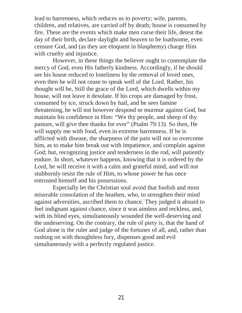lead to barrenness, which reduces us to poverty; wife, parents, children, and relatives, are carried off by death; house is consumed by fire. These are the events which make men curse their life, detest the day of their birth, declare daylight and heaven to be loathsome, even censure God, and (as they are eloquent in blasphemy) charge Him with cruelty and injustice.

However, in these things the believer ought to contemplate the mercy of God, even His fatherly kindness. Accordingly, if he should see his house reduced to loneliness by the removal of loved ones, even then he will not cease to speak well of the Lord. Rather, his thought will be, Still the grace of the Lord, which dwells within my house, will not leave it desolate. If his crops are damaged by frost, consumed by ice, struck down by hail, and he sees famine threatening, he will not however despond or murmur against God, but maintain his confidence in Him: "We thy people, and sheep of thy pasture, will give thee thanks for ever" (Psalm 79:13). So then, He will supply me with food, even in extreme barrenness. If he is afflicted with disease, the sharpness of the pain will not so overcome him, as to make him break out with impatience, and complain against God; but, recognizing justice and tenderness in the rod, will patiently endure. In short, whatever happens, knowing that it is ordered by the Lord, he will receive it with a calm and grateful mind, and will not stubbornly resist the rule of Him, to whose power he has once entrusted himself and his possessions.

Especially let the Christian soul avoid that foolish and most miserable consolation of the heathen, who, to strengthen their mind against adversities, ascribed them to chance. They judged it absurd to feel indignant against chance, since it was aimless and reckless, and, with its blind eyes, simultaneously wounded the well-deserving and the undeserving. On the contrary, the rule of piety is, that the hand of God alone is the ruler and judge of the fortunes of all, and, rather than rushing on with thoughtless fury, dispenses good and evil simultaneously with a perfectly regulated justice.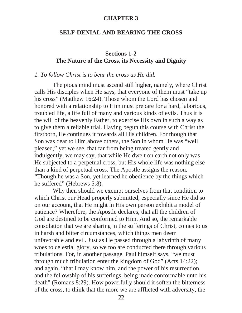#### **CHAPTER 3**

#### **SELF-DENIAL AND BEARING THE CROSS**

# **Sections 1-2 The Nature of the Cross, its Necessity and Dignity**

#### *1. To follow Christ is to bear the cross as He did.*

The pious mind must ascend still higher, namely, where Christ calls His disciples when He says, that everyone of them must "take up his cross" (Matthew 16:24). Those whom the Lord has chosen and honored with a relationship to Him must prepare for a hard, laborious, troubled life, a life full of many and various kinds of evils. Thus it is the will of the heavenly Father, to exercise His own in such a way as to give them a reliable trial. Having begun this course with Christ the firstborn, He continues it towards all His children. For though that Son was dear to Him above others, the Son in whom He was "well pleased," yet we see, that far from being treated gently and indulgently, we may say, that while He dwelt on earth not only was He subjected to a perpetual cross, but His whole life was nothing else than a kind of perpetual cross. The Apostle assigns the reason, "Though he was a Son, yet learned he obedience by the things which he suffered" (Hebrews 5:8).

Why then should we exempt ourselves from that condition to which Christ our Head properly submitted; especially since He did so on our account, that He might in His own person exhibit a model of patience? Wherefore, the Apostle declares, that all the children of God are destined to be conformed to Him. And so, the remarkable consolation that we are sharing in the sufferings of Christ, comes to us in harsh and bitter circumstances, which things men deem unfavorable and evil. Just as He passed through a labyrinth of many woes to celestial glory, so we too are conducted there through various tribulations. For, in another passage, Paul himself says, "we must through much tribulation enter the kingdom of God" (Acts 14:22); and again, "that I may know him, and the power of his resurrection, and the fellowship of his sufferings, being made conformable unto his death" (Romans 8:29). How powerfully should it soften the bitterness of the cross, to think that the more we are afflicted with adversity, the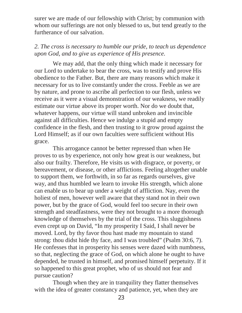surer we are made of our fellowship with Christ; by communion with whom our sufferings are not only blessed to us, but tend greatly to the furtherance of our salvation.

# *2. The cross is necessary to humble our pride, to teach us dependence upon God, and to give us experience of His presence.*

We may add, that the only thing which made it necessary for our Lord to undertake to bear the cross, was to testify and prove His obedience to the Father. But, there are many reasons which make it necessary for us to live constantly under the cross. Feeble as we are by nature, and prone to ascribe all perfection to our flesh, unless we receive as it were a visual demonstration of our weakness, we readily estimate our virtue above its proper worth. Nor do we doubt that, whatever happens, our virtue will stand unbroken and invincible against all difficulties. Hence we indulge a stupid and empty confidence in the flesh, and then trusting to it grow proud against the Lord Himself; as if our own faculties were sufficient without His grace.

This arrogance cannot be better repressed than when He proves to us by experience, not only how great is our weakness, but also our frailty. Therefore, He visits us with disgrace, or poverty, or bereavement, or disease, or other afflictions. Feeling altogether unable to support them, we forthwith, in so far as regards ourselves, give way, and thus humbled we learn to invoke His strength, which alone can enable us to bear up under a weight of affliction. Nay, even the holiest of men, however well aware that they stand not in their own power, but by the grace of God, would feel too secure in their own strength and steadfastness, were they not brought to a more thorough knowledge of themselves by the trial of the cross. This sluggishness even crept up on David, "In my prosperity I Said, I shall never be moved. Lord, by thy favor thou hast made my mountain to stand strong: thou didst hide thy face, and I was troubled" (Psalm 30:6, 7). He confesses that in prosperity his senses were dazed with numbness, so that, neglecting the grace of God, on which alone he ought to have depended, he trusted in himself, and promised himself perpetuity. If it so happened to this great prophet, who of us should not fear and pursue caution?

Though when they are in tranquility they flatter themselves with the idea of greater constancy and patience, yet, when they are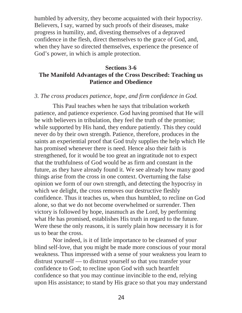humbled by adversity, they become acquainted with their hypocrisy. Believers, I say, warned by such proofs of their diseases, make progress in humility, and, divesting themselves of a depraved confidence in the flesh, direct themselves to the grace of God, and, when they have so directed themselves, experience the presence of God's power, in which is ample protection.

# **Sections 3-6 The Manifold Advantages of the Cross Described: Teaching us Patience and Obedience**

#### *3. The cross produces patience, hope, and firm confidence in God.*

This Paul teaches when he says that tribulation worketh patience, and patience experience. God having promised that He will be with believers in tribulation, they feel the truth of the promise; while supported by His hand, they endure patiently. This they could never do by their own strength. Patience, therefore, produces in the saints an experiential proof that God truly supplies the help which He has promised whenever there is need. Hence also their faith is strengthened, for it would be too great an ingratitude not to expect that the truthfulness of God would be as firm and constant in the future, as they have already found it. We see already how many good things arise from the cross in one context. Overturning the false opinion we form of our own strength, and detecting the hypocrisy in which we delight, the cross removes our destructive fleshly confidence. Thus it teaches us, when thus humbled, to recline on God alone, so that we do not become overwhelmed or surrender. Then victory is followed by hope, inasmuch as the Lord, by performing what He has promised, establishes His truth in regard to the future. Were these the only reasons, it is surely plain how necessary it is for us to bear the cross.

Nor indeed, is it of little importance to be cleansed of your blind self-love, that you might be made more conscious of your moral weakness. Thus impressed with a sense of your weakness you learn to distrust yourself — to distrust yourself so that you transfer your confidence to God; to recline upon God with such heartfelt confidence so that you may continue invincible to the end, relying upon His assistance; to stand by His grace so that you may understand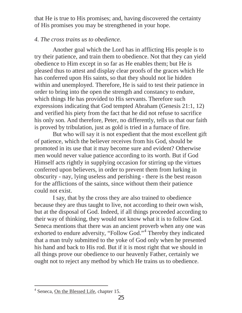that He is true to His promises; and, having discovered the certainty of His promises you may be strengthened in your hope.

# *4. The cross trains us to obedience.*

Another goal which the Lord has in afflicting His people is to try their patience, and train them to obedience. Not that they can yield obedience to Him except in so far as He enables them; but He is pleased thus to attest and display clear proofs of the graces which He has conferred upon His saints, so that they should not lie hidden within and unemployed. Therefore, He is said to test their patience in order to bring into the open the strength and constancy to endure, which things He has provided to His servants. Therefore such expressions indicating that God tempted Abraham (Genesis 21:1, 12) and verified his piety from the fact that he did not refuse to sacrifice his only son. And therefore, Peter, no differently, tells us that our faith is proved by tribulation, just as gold is tried in a furnace of fire.

But who will say it is not expedient that the most excellent gift of patience, which the believer receives from his God, should be promoted in its use that it may become sure and evident? Otherwise men would never value patience according to its worth. But if God Himself acts rightly in supplying occasion for stirring up the virtues conferred upon believers, in order to prevent them from lurking in obscurity - nay, lying useless and perishing - there is the best reason for the afflictions of the saints, since without them their patience could not exist.

I say, that by the cross they are also trained to obedience because they are thus taught to live, not according to their own wish, but at the disposal of God. Indeed, if all things proceeded according to their way of thinking, they would not know what it is to follow God. Seneca mentions that there was an ancient proverb when any one was exhorted to endure adversity, "Follow God."<sup>4</sup> Thereby they indicated that a man truly submitted to the yoke of God only when he presented his hand and back to His rod. But if it is most right that we should in all things prove our obedience to our heavenly Father, certainly we ought not to reject any method by which He trains us to obedience.

 $\overline{a}$ <sup>4</sup> Seneca, On the Blessed Life, chapter 15.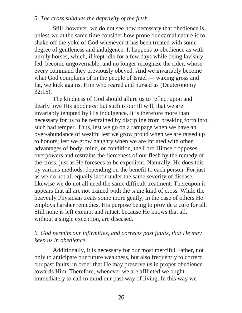### *5. The cross subdues the depravity of the flesh.*

Still, however, we do not see how necessary that obedience is, unless we at the same time consider how prone our carnal nature is to shake off the yoke of God whenever it has been treated with some degree of gentleness and indulgence. It happens to obedience as with unruly horses, which, if kept idle for a few days while being lavishly fed, become ungovernable, and no longer recognize the rider, whose every command they previously obeyed. And we invariably become what God complains of in the people of Israel — waxing gross and fat, we kick against Him who reared and nursed us (Deuteronomy 32:15).

The kindness of God should allure us to reflect upon and dearly love His goodness; but such is our ill will, that we are invariably tempted by His indulgence. It is therefore more than necessary for us to be restrained by discipline from breaking forth into such bad temper. Thus, lest we go on a rampage when we have an over-abundance of wealth; lest we grow proud when we are raised up to honors; lest we grow haughty when we are inflated with other advantages of body, mind, or condition, the Lord Himself opposes, overpowers and restrains the fierceness of our flesh by the remedy of the cross, just as He foresees to be expedient. Naturally, He does this by various methods, depending on the benefit to each person. For just as we do not all equally labor under the same severity of disease, likewise we do not all need the same difficult treatment. Thereupon it appears that all are not trained with the same kind of cross. While the heavenly Physician treats some more gently, in the case of others He employs harsher remedies, His purpose being to provide a cure for all. Still none is left exempt and intact, because He knows that all, without a single exception, are diseased.

# *6. God permits our infirmities, and corrects past faults, that He may keep us in obedience.*

Additionally, it is necessary for our most merciful Father, not only to anticipate our future weakness, but also frequently to correct our past faults, in order that He may preserve us in proper obedience towards Him. Therefore, whenever we are afflicted we ought immediately to call to mind our past way of living. In this way we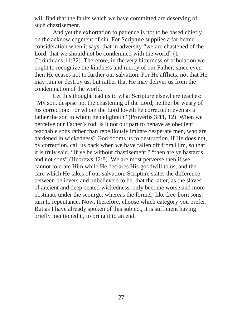will find that the faults which we have committed are deserving of such chastisement.

And yet the exhortation to patience is not to be based chiefly on the acknowledgment of sin. For Scripture supplies a far better consideration when it says, that in adversity "we are chastened of the Lord, that we should not be condemned with the world" (1 Corinthians 11:32). Therefore, in the very bitterness of tribulation we ought to recognize the kindness and mercy of our Father, since even then He ceases not to further our salvation. For He afflicts, not that He may ruin or destroy us, but rather that He may deliver us from the condemnation of the world.

Let this thought lead us to what Scripture elsewhere teaches: "My son, despise not the chastening of the Lord; neither be weary of his correction: For whom the Lord loveth he correcteth; even as a father the son in whom he delighteth" (Proverbs 3:11, 12). When we perceive our Father's rod, is it not our part to behave as obedient teachable sons rather than rebelliously imitate desperate men, who are hardened in wickedness? God dooms us to destruction, if He does not, by correction, call us back when we have fallen off from Him, so that it is truly said, "If ye be without chastisement," "then are ye bastards, and not sons" (Hebrews 12:8). We are most perverse then if we cannot tolerate Him while He declares His goodwill to us, and the care which He takes of our salvation. Scripture states the difference between believers and unbelievers to be, that the latter, as the slaves of ancient and deep-seated wickedness, only become worse and more obstinate under the scourge; whereas the former, like free-born sons, turn to repentance. Now, therefore, choose which category you prefer. But as I have already spoken of this subject, it is sufficient having briefly mentioned it, to bring it to an end.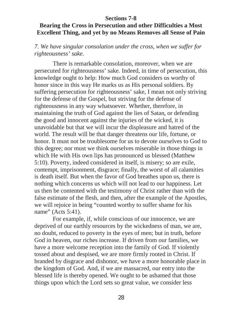## **Sections 7-8**

# **Bearing the Cross in Persecution and other Difficulties a Most Excellent Thing, and yet by no Means Removes all Sense of Pain**

*7. We have singular consolation under the cross, when we suffer for righteousness' sake.*

There is remarkable consolation, moreover, when we are persecuted for righteousness' sake. Indeed, in time of persecution, this knowledge ought to help: How much God considers us worthy of honor since in this way He marks us as His personal soldiers. By suffering persecution for righteousness' sake, I mean not only striving for the defense of the Gospel, but striving for the defense of righteousness in any way whatsoever. Whether, therefore, in maintaining the truth of God against the lies of Satan, or defending the good and innocent against the injuries of the wicked, it is unavoidable but that we will incur the displeasure and hatred of the world. The result will be that danger threatens our life, fortune, or honor. It must not be troublesome for us to devote ourselves to God to this degree; nor must we think ourselves miserable in those things in which He with His own lips has pronounced us blessed (Matthew 5:10). Poverty, indeed considered in itself, is misery; so are exile, contempt, imprisonment, disgrace; finally, the worst of all calamities is death itself. But when the favor of God breathes upon us, there is nothing which concerns us which will not lead to our happiness. Let us then be contented with the testimony of Christ rather than with the false estimate of the flesh, and then, after the example of the Apostles, we will rejoice in being "counted worthy to suffer shame for his name" (Acts 5:41).

For example, if, while conscious of our innocence, we are deprived of our earthly resources by the wickedness of man, we are, no doubt, reduced to poverty in the eyes of men; but in truth, before God in heaven, our riches increase. If driven from our families, we have a more welcome reception into the family of God. If violently tossed about and despised, we are more firmly rooted in Christ. If branded by disgrace and dishonor, we have a more honorable place in the kingdom of God. And, if we are massacred, our entry into the blessed life is thereby opened. We ought to be ashamed that those things upon which the Lord sets so great value, we consider less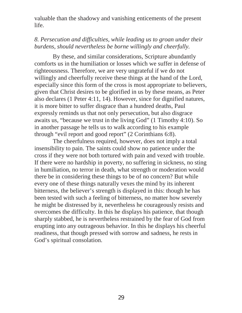valuable than the shadowy and vanishing enticements of the present life.

# *8. Persecution and difficulties, while leading us to groan under their burdens, should nevertheless be borne willingly and cheerfully.*

By these, and similar considerations, Scripture abundantly comforts us in the humiliation or losses which we suffer in defense of righteousness. Therefore, we are very ungrateful if we do not willingly and cheerfully receive these things at the hand of the Lord, especially since this form of the cross is most appropriate to believers, given that Christ desires to be glorified in us by these means, as Peter also declares (1 Peter 4:11, 14). However, since for dignified natures, it is more bitter to suffer disgrace than a hundred deaths, Paul expressly reminds us that not only persecution, but also disgrace awaits us, "because we trust in the living God" (1 Timothy 4:10). So in another passage he tells us to walk according to his example through "evil report and good report" (2 Corinthians 6:8).

The cheerfulness required, however, does not imply a total insensibility to pain. The saints could show no patience under the cross if they were not both tortured with pain and vexed with trouble. If there were no hardship in poverty, no suffering in sickness, no sting in humiliation, no terror in death, what strength or moderation would there be in considering these things to be of no concern? But while every one of these things naturally vexes the mind by its inherent bitterness, the believer's strength is displayed in this: though he has been tested with such a feeling of bitterness, no matter how severely he might be distressed by it, nevertheless he courageously resists and overcomes the difficulty. In this he displays his patience, that though sharply stabbed, he is nevertheless restrained by the fear of God from erupting into any outrageous behavior. In this he displays his cheerful readiness, that though pressed with sorrow and sadness, he rests in God's spiritual consolation.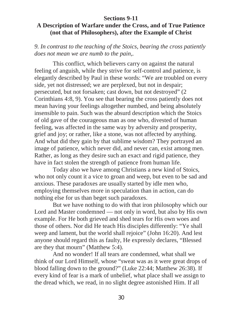### **Sections 9-11**

# **A Description of Warfare under the Cross, and of True Patience (not that of Philosophers), after the Example of Christ**

*9. In contrast to the teaching of the Stoics, bearing the cross patiently does not mean we are numb to the pain,.*

This conflict, which believers carry on against the natural feeling of anguish, while they strive for self-control and patience, is elegantly described by Paul in these words: "We are troubled on every side, yet not distressed; we are perplexed, but not in despair; persecuted, but not forsaken; cast down, but not destroyed" (2 Corinthians 4:8, 9). You see that bearing the cross patiently does not mean having your feelings altogether numbed, and being absolutely insensible to pain. Such was the absurd description which the Stoics of old gave of the courageous man as one who, divested of human feeling, was affected in the same way by adversity and prosperity, grief and joy; or rather, like a stone, was not affected by anything. And what did they gain by that sublime wisdom? They portrayed an image of patience, which never did, and never can, exist among men. Rather, as long as they desire such an exact and rigid patience, they have in fact stolen the strength of patience from human life.

Today also we have among Christians a new kind of Stoics, who not only count it a vice to groan and weep, but even to be sad and anxious. These paradoxes are usually started by idle men who, employing themselves more in speculation than in action, can do nothing else for us than beget such paradoxes.

But we have nothing to do with that iron philosophy which our Lord and Master condemned — not only in word, but also by His own example. For He both grieved and shed tears for His own woes and those of others. Nor did He teach His disciples differently: "Ye shall weep and lament, but the world shall rejoice" (John 16:20). And lest anyone should regard this as faulty, He expressly declares, "Blessed are they that mourn" (Matthew 5:4).

And no wonder! If all tears are condemned, what shall we think of our Lord Himself, whose "sweat was as it were great drops of blood falling down to the ground?" (Luke 22:44; Matthew 26:38). If every kind of fear is a mark of unbelief, what place shall we assign to the dread which, we read, in no slight degree astonished Him. If all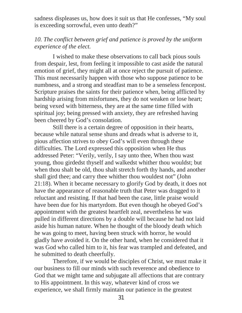sadness displeases us, how does it suit us that He confesses, "My soul is exceeding sorrowful, even unto death?"

# *10. The conflict between grief and patience is proved by the uniform experience of the elect.*

I wished to make these observations to call back pious souls from despair, lest, from feeling it impossible to cast aside the natural emotion of grief, they might all at once reject the pursuit of patience. This must necessarily happen with those who suppose patience to be numbness, and a strong and steadfast man to be a senseless fencepost. Scripture praises the saints for their patience when, being afflicted by hardship arising from misfortunes, they do not weaken or lose heart; being vexed with bitterness, they are at the same time filled with spiritual joy; being pressed with anxiety, they are refreshed having been cheered by God's consolation.

Still there is a certain degree of opposition in their hearts, because while natural sense shuns and dreads what is adverse to it, pious affection strives to obey God's will even through these difficulties. The Lord expressed this opposition when He thus addressed Peter: "Verily, verily, I say unto thee, When thou wast young, thou girdedst thyself and walkedst whither thou wouldst; but when thou shalt be old, thou shalt stretch forth thy hands, and another shall gird thee; and carry thee whither thou wouldest not" (John 21:18). When it became necessary to glorify God by death, it does not have the appearance of reasonable truth that Peter was dragged to it reluctant and resisting. If that had been the case, little praise would have been due for his martyrdom. But even though he obeyed God's appointment with the greatest heartfelt zeal, nevertheless he was pulled in different directions by a double will because he had not laid aside his human nature. When he thought of the bloody death which he was going to meet, having been struck with horror, he would gladly have avoided it. On the other hand, when he considered that it was God who called him to it, his fear was trampled and defeated, and he submitted to death cheerfully.

Therefore, if we would be disciples of Christ, we must make it our business to fill our minds with such reverence and obedience to God that we might tame and subjugate all affections that are contrary to His appointment. In this way, whatever kind of cross we experience, we shall firmly maintain our patience in the greatest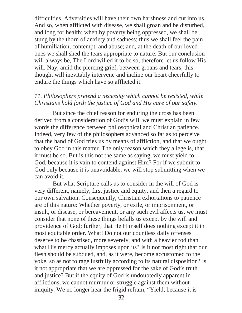difficulties. Adversities will have their own harshness and cut into us. And so, when afflicted with disease, we shall groan and be disturbed, and long for health; when by poverty being oppressed, we shall be stung by the thorn of anxiety and sadness; thus we shall feel the pain of humiliation, contempt, and abuse; and, at the death of our loved ones we shall shed the tears appropriate to nature. But our conclusion will always be, The Lord willed it to be so, therefore let us follow His will. Nay, amid the piercing grief, between groans and tears, this thought will inevitably intervene and incline our heart cheerfully to endure the things which have so afflicted it.

# *11. Philosophers pretend a necessity which cannot be resisted, while Christians hold forth the justice of God and His care of our safety.*

But since the chief reason for enduring the cross has been derived from a consideration of God's will, we must explain in few words the difference between philosophical and Christian patience. Indeed, very few of the philosophers advanced so far as to perceive that the hand of God tries us by means of affliction, and that we ought to obey God in this matter. The only reason which they allege is, that it must be so. But is this not the same as saying, we must yield to God, because it is vain to contend against Him? For if we submit to God only because it is unavoidable, we will stop submitting when we can avoid it.

But what Scripture calls us to consider in the will of God is very different, namely, first justice and equity, and then a regard to our own salvation. Consequently, Christian exhortations to patience are of this nature: Whether poverty, or exile, or imprisonment, or insult, or disease, or bereavement, or any such evil affects us, we must consider that none of these things befalls us except by the will and providence of God; further, that He Himself does nothing except it in most equitable order. What! Do not our countless daily offenses deserve to be chastised, more severely, and with a heavier rod than what His mercy actually imposes upon us? Is it not most right that our flesh should be subdued, and, as it were, become accustomed to the yoke, so as not to rage lustfully according to its natural disposition? Is it not appropriate that we are oppressed for the sake of God's truth and justice? But if the equity of God is undoubtedly apparent in afflictions, we cannot murmur or struggle against them without iniquity. We no longer hear the frigid refrain, "Yield, because it is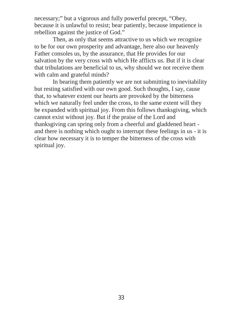necessary;" but a vigorous and fully powerful precept, "Obey, because it is unlawful to resist; bear patiently, because impatience is rebellion against the justice of God."

Then, as only that seems attractive to us which we recognize to be for our own prosperity and advantage, here also our heavenly Father consoles us, by the assurance, that He provides for our salvation by the very cross with which He afflicts us. But if it is clear that tribulations are beneficial to us, why should we not receive them with calm and grateful minds?

In bearing them patiently we are not submitting to inevitability but resting satisfied with our own good. Such thoughts, I say, cause that, to whatever extent our hearts are provoked by the bitterness which we naturally feel under the cross, to the same extent will they be expanded with spiritual joy. From this follows thanksgiving, which cannot exist without joy. But if the praise of the Lord and thanksgiving can spring only from a cheerful and gladdened heart and there is nothing which ought to interrupt these feelings in us - it is clear how necessary it is to temper the bitterness of the cross with spiritual joy.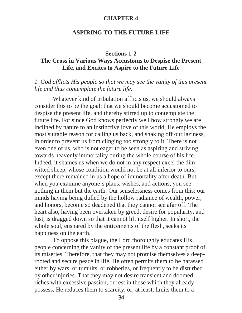#### **CHAPTER 4**

#### **ASPIRING TO THE FUTURE LIFE**

#### **Sections 1-2**

# **The Cross in Various Ways Accustoms to Despise the Present Life, and Excites to Aspire to the Future Life**

#### *1. God afflicts His people so that we may see the vanity of this present life and thus contemplate the future life.*

Whatever kind of tribulation afflicts us, we should always consider this to be the goal: that we should become accustomed to despise the present life, and thereby stirred up to contemplate the future life. For since God knows perfectly well how strongly we are inclined by nature to an instinctive love of this world, He employs the most suitable reason for calling us back, and shaking off our laziness, in order to prevent us from clinging too strongly to it. There is not even one of us, who is not eager to be seen as aspiring and striving towards heavenly immortality during the whole course of his life. Indeed, it shames us when we do not in any respect excel the dimwitted sheep, whose condition would not be at all inferior to ours, except there remained in us a hope of immortality after death. But when you examine anyone's plans, wishes, and actions, you see nothing in them but the earth. Our senselessness comes from this: our minds having being dulled by the hollow radiance of wealth, power, and honors, become so deadened that they cannot see afar off. The heart also, having been overtaken by greed, desire for popularity, and lust, is dragged down so that it cannot lift itself higher. In short, the whole soul, ensnared by the enticements of the flesh, seeks its happiness on the earth.

To oppose this plague, the Lord thoroughly educates His people concerning the vanity of the present life by a constant proof of its miseries. Therefore, that they may not promise themselves a deeprooted and secure peace in life, He often permits them to be harassed either by wars, or tumults, or robberies, or frequently to be disturbed by other injuries. That they may not desire transient and doomed riches with excessive passion, or rest in those which they already possess, He reduces them to scarcity, or, at least, limits them to a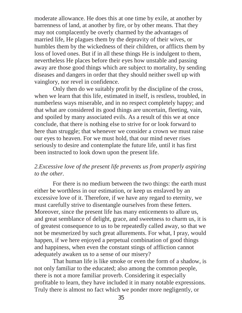moderate allowance. He does this at one time by exile, at another by barrenness of land, at another by fire, or by other means. That they may not complacently be overly charmed by the advantages of married life, He plagues them by the depravity of their wives, or humbles them by the wickedness of their children, or afflicts them by loss of loved ones. But if in all these things He is indulgent to them, nevertheless He places before their eyes how unstable and passing away are those good things which are subject to mortality, by sending diseases and dangers in order that they should neither swell up with vainglory, nor revel in confidence.

Only then do we suitably profit by the discipline of the cross, when we learn that this life, estimated in itself, is restless, troubled, in numberless ways miserable, and in no respect completely happy; and that what are considered its good things are uncertain, fleeting, vain, and spoiled by many associated evils. As a result of this we at once conclude, that there is nothing else to strive for or look forward to here than struggle; that whenever we consider a crown we must raise our eyes to heaven. For we must hold, that our mind never rises seriously to desire and contemplate the future life, until it has first been instructed to look down upon the present life.

# *2.Excessive love of the present life prevents us from properly aspiring to the other.*

For there is no medium between the two things: the earth must either be worthless in our estimation, or keep us enslaved by an excessive love of it. Therefore, if we have any regard to eternity, we must carefully strive to disentangle ourselves from these fetters. Moreover, since the present life has many enticements to allure us, and great semblance of delight, grace, and sweetness to charm us, it is of greatest consequence to us to be repeatedly called away, so that we not be mesmerized by such great allurements. For what, I pray, would happen, if we here enjoyed a perpetual combination of good things and happiness, when even the constant stings of affliction cannot adequately awaken us to a sense of our misery?

That human life is like smoke or even the form of a shadow, is not only familiar to the educated; also among the common people, there is not a more familiar proverb. Considering it especially profitable to learn, they have included it in many notable expressions. Truly there is almost no fact which we ponder more negligently, or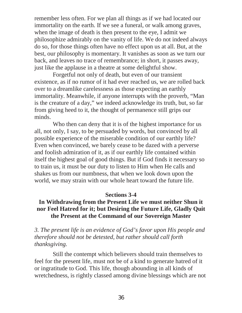remember less often. For we plan all things as if we had located our immortality on the earth. If we see a funeral, or walk among graves, when the image of death is then present to the eye, I admit we philosophize admirably on the vanity of life. We do not indeed always do so, for those things often have no effect upon us at all. But, at the best, our philosophy is momentary. It vanishes as soon as we turn our back, and leaves no trace of remembrance; in short, it passes away, just like the applause in a theatre at some delightful show.

Forgetful not only of death, but even of our transient existence, as if no rumor of it had ever reached us, we are rolled back over to a dreamlike carelessness as those expecting an earthly immortality. Meanwhile, if anyone interrupts with the proverb, "Man is the creature of a day," we indeed acknowledge its truth, but, so far from giving heed to it, the thought of permanence still grips our minds.

Who then can deny that it is of the highest importance for us all, not only, I say, to be persuaded by words, but convinced by all possible experience of the miserable condition of our earthly life? Even when convinced, we barely cease to be dazed with a perverse and foolish admiration of it, as if our earthly life contained within itself the highest goal of good things. But if God finds it necessary so to train us, it must be our duty to listen to Him when He calls and shakes us from our numbness, that when we look down upon the world, we may strain with our whole heart toward the future life.

#### **Sections 3-4**

# **In Withdrawing from the Present Life we must neither Shun it nor Feel Hatred for it; but Desiring the Future Life, Gladly Quit the Present at the Command of our Sovereign Master**

*3. The present life is an evidence of God's favor upon His people and therefore should not be detested, but rather should call forth thanksgiving.*

Still the contempt which believers should train themselves to feel for the present life, must not be of a kind to generate hatred of it or ingratitude to God. This life, though abounding in all kinds of wretchedness, is rightly classed among divine blessings which are not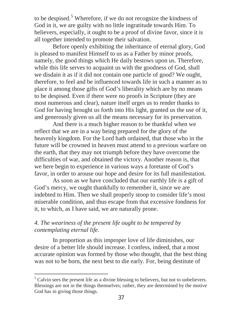to be despised. $5$  Wherefore, if we do not recognize the kindness of God in it, we are guilty with no little ingratitude towards Him. To believers, especially, it ought to be a proof of divine favor, since it is all together intended to promote their salvation.

Before openly exhibiting the inheritance of eternal glory, God is pleased to manifest Himself to us as a Father by minor proofs, namely, the good things which He daily bestows upon us. Therefore, while this life serves to acquaint us with the goodness of God, shall we disdain it as if it did not contain one particle of good? We ought, therefore, to feel and be influenced towards life in such a manner as to place it among those gifts of God's liberality which are by no means to be despised. Even if there were no proofs in Scripture (they are most numerous and clear), nature itself urges us to render thanks to God for having brought us forth into His light, granted us the use of it, and generously given us all the means necessary for its preservation.

And there is a much higher reason to be thankful when we reflect that we are in a way being prepared for the glory of the heavenly kingdom. For the Lord hath ordained, that those who in the future will be crowned in heaven must attend to a previous warfare on the earth, that they may not triumph before they have overcome the difficulties of war, and obtained the victory. Another reason is, that we here begin to experience in various ways a foretaste of God's favor, in order to arouse our hope and desire for its full manifestation.

As soon as we have concluded that our earthly life is a gift of God's mercy, we ought thankfully to remember it, since we are indebted to Him. Then we shall properly stoop to consider life's most miserable condition, and thus escape from that excessive fondness for it, to which, as I have said, we are naturally prone.

# *4. The weariness of the present life ought to be tempered by contemplating eternal life.*

 $\overline{a}$ 

In proportion as this improper love of life diminishes, our desire of a better life should increase. I confess, indeed, that a most accurate opinion was formed by those who thought, that the best thing was not to be born, the next best to die early. For, being destitute of

 $<sup>5</sup>$  Calvin sees the present life as a divine blessing to believers, but not to unbelievers.</sup> Blessings are not in the things themselves; rather, they are determined by the motive God has in giving those things.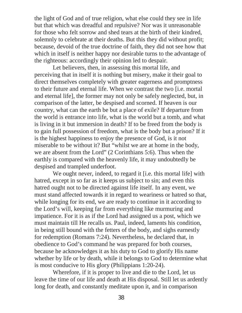the light of God and of true religion, what else could they see in life but that which was dreadful and repulsive? Nor was it unreasonable for those who felt sorrow and shed tears at the birth of their kindred, solemnly to celebrate at their deaths. But this they did without profit; because, devoid of the true doctrine of faith, they did not see how that which in itself is neither happy nor desirable turns to the advantage of the righteous: accordingly their opinion led to despair.

Let believers, then, in assessing this mortal life, and perceiving that in itself it is nothing but misery, make it their goal to direct themselves completely with greater eagerness and promptness to their future and eternal life. When we contrast the two [i.e. mortal and eternal life], the former may not only be safely neglected, but, in comparison of the latter, be despised and scorned. If heaven is our country, what can the earth be but a place of exile? If departure from the world is entrance into life, what is the world but a tomb, and what is living in it but immersion in death? If to be freed from the body is to gain full possession of freedom, what is the body but a prison? If it is the highest happiness to enjoy the presence of God, is it not miserable to be without it? But "whilst we are at home in the body, we are absent from the Lord" (2 Corinthians 5:6). Thus when the earthly is compared with the heavenly life, it may undoubtedly be despised and trampled underfoot.

We ought never, indeed, to regard it [i.e. this mortal life] with hatred, except in so far as it keeps us subject to sin; and even this hatred ought not to be directed against life itself. In any event, we must stand affected towards it in regard to weariness or hatred so that, while longing for its end, we are ready to continue in it according to the Lord's will, keeping far from everything like murmuring and impatience. For it is as if the Lord had assigned us a post, which we must maintain till He recalls us. Paul, indeed, laments his condition, in being still bound with the fetters of the body, and sighs earnestly for redemption (Romans 7:24). Nevertheless, he declared that, in obedience to God's command he was prepared for both courses, because he acknowledges it as his duty to God to glorify His name whether by life or by death, while it belongs to God to determine what is most conducive to His glory (Philippians 1:20-24).

Wherefore, if it is proper to live and die to the Lord, let us leave the time of our life and death at His disposal. Still let us ardently long for death, and constantly meditate upon it, and in comparison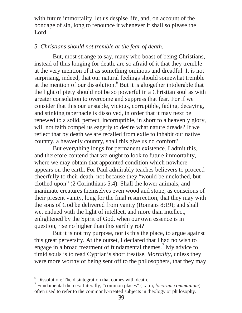with future immortality, let us despise life, and, on account of the bondage of sin, long to renounce it whenever it shall so please the Lord.

# *5. Christians should not tremble at the fear of death.*

But, most strange to say, many who boast of being Christians, instead of thus longing for death, are so afraid of it that they tremble at the very mention of it as something ominous and dreadful. It is not surprising, indeed, that our natural feelings should somewhat tremble at the mention of our dissolution.<sup>6</sup> But it is altogether intolerable that the light of piety should not be so powerful in a Christian soul as with greater consolation to overcome and suppress that fear. For if we consider that this our unstable, vicious, corruptible, fading, decaying, and stinking tabernacle is dissolved, in order that it may next be renewed to a solid, perfect, incorruptible, in short to a heavenly glory, will not faith compel us eagerly to desire what nature dreads? If we reflect that by death we are recalled from exile to inhabit our native country, a heavenly country, shall this give us no comfort?

But everything longs for permanent existence. I admit this, and therefore contend that we ought to look to future immortality, where we may obtain that appointed condition which nowhere appears on the earth. For Paul admirably teaches believers to proceed cheerfully to their death, not because they "would be unclothed, but clothed upon" (2 Corinthians 5:4). Shall the lower animals, and inanimate creatures themselves even wood and stone, as conscious of their present vanity, long for the final resurrection, that they may with the sons of God be delivered from vanity (Romans 8:19); and shall we, endued with the light of intellect, and more than intellect, enlightened by the Spirit of God, when our own essence is in question, rise no higher than this earthly rot?

But it is not my purpose, nor is this the place, to argue against this great perversity. At the outset, I declared that I had no wish to engage in a broad treatment of fundamental themes.<sup>7</sup> My advice to timid souls is to read Cyprian's short treatise, *Mortality*, unless they were more worthy of being sent off to the philosophers, that they may

 $6$  Dissolution: The disintegration that comes with death.

<sup>7</sup> Fundamental themes: Literally, "common places" (Latin, *locorum communium*) often used to refer to the commonly-treated subjects in theology or philosophy.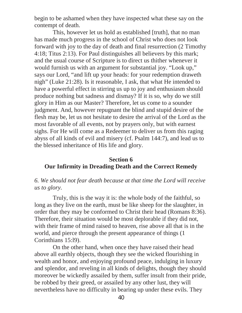begin to be ashamed when they have inspected what these say on the contempt of death.

This, however let us hold as established [truth], that no man has made much progress in the school of Christ who does not look forward with joy to the day of death and final resurrection (2 Timothy 4:18; Titus 2:13). For Paul distinguishes all believers by this mark; and the usual course of Scripture is to direct us thither whenever it would furnish us with an argument for substantial joy. "Look up," says our Lord, "and lift up your heads: for your redemption draweth nigh" (Luke 21:28). Is it reasonable, I ask, that what He intended to have a powerful effect in stirring us up to joy and enthusiasm should produce nothing but sadness and dismay? If it is so, why do we still glory in Him as our Master? Therefore, let us come to a sounder judgment. And, however repugnant the blind and stupid desire of the flesh may be, let us not hesitate to desire the arrival of the Lord as the most favorable of all events, not by prayers only, but with earnest sighs. For He will come as a Redeemer to deliver us from this raging abyss of all kinds of evil and misery (cf. Psalm 144:7), and lead us to the blessed inheritance of His life and glory.

# **Section 6 Our Infirmity in Dreading Death and the Correct Remedy**

# *6. We should not fear death because at that time the Lord will receive us to glory.*

Truly, this is the way it is: the whole body of the faithful, so long as they live on the earth, must be like sheep for the slaughter, in order that they may be conformed to Christ their head (Romans 8:36). Therefore, their situation would be most deplorable if they did not, with their frame of mind raised to heaven, rise above all that is in the world, and pierce through the present appearance of things (1 Corinthians 15:l9).

On the other hand, when once they have raised their head above all earthly objects, though they see the wicked flourishing in wealth and honor, and enjoying profound peace, indulging in luxury and splendor, and reveling in all kinds of delights, though they should moreover be wickedly assailed by them, suffer insult from their pride, be robbed by their greed, or assailed by any other lust, they will nevertheless have no difficulty in bearing up under these evils. They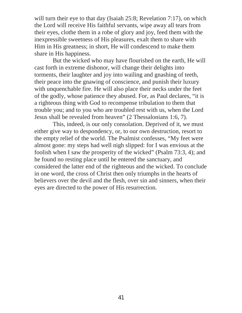will turn their eye to that day (Isaiah 25:8; Revelation 7:17), on which the Lord will receive His faithful servants, wipe away all tears from their eyes, clothe them in a robe of glory and joy, feed them with the inexpressible sweetness of His pleasures, exalt them to share with Him in His greatness; in short, He will condescend to make them share in His happiness.

But the wicked who may have flourished on the earth, He will cast forth in extreme dishonor, will change their delights into torments, their laughter and joy into wailing and gnashing of teeth, their peace into the gnawing of conscience, and punish their luxury with unquenchable fire. He will also place their necks under the feet of the godly, whose patience they abused. For, as Paul declares, "it is a righteous thing with God to recompense tribulation to them that trouble you; and to you who are troubled rest with us, when the Lord Jesus shall be revealed from heaven" (2 Thessalonians 1:6, 7).

This, indeed, is our only consolation. Deprived of it, we must either give way to despondency, or, to our own destruction, resort to the empty relief of the world. The Psalmist confesses, "My feet were almost gone: my steps had well nigh slipped: for I was envious at the foolish when I saw the prosperity of the wicked" (Psalm 73:3, 4); and he found no resting place until he entered the sanctuary, and considered the latter end of the righteous and the wicked. To conclude in one word, the cross of Christ then only triumphs in the hearts of believers over the devil and the flesh, over sin and sinners, when their eyes are directed to the power of His resurrection.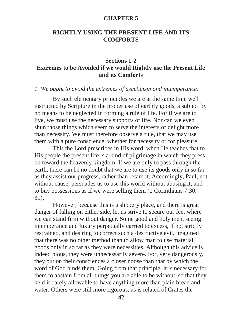#### **CHAPTER 5**

# **RIGHTLY USING THE PRESENT LIFE AND ITS COMFORTS**

# **Sections 1-2 Extremes to be Avoided if we would Rightly use the Present Life and its Comforts**

#### *1. We ought to avoid the extremes of asceticism and intemperance.*

By such elementary principles we are at the same time well instructed by Scripture in the proper use of earthly goods, a subject by no means to be neglected in forming a rule of life. For if we are to live, we must use the necessary supports of life. Nor can we even shun those things which seem to serve the interests of delight more than necessity. We must therefore observe a rule, that we may use them with a pure conscience, whether for necessity or for pleasure.

This the Lord prescribes in His word, when He teaches that to His people the present life is a kind of pilgrimage in which they press on toward the heavenly kingdom. If we are only to pass through the earth, there can be no doubt that we are to use its goods only in so far as they assist our progress, rather than retard it. Accordingly, Paul, not without cause, persuades us to use this world without abusing it, and to buy possessions as if we were selling them (1 Corinthians 7:30, 31).

However, because this is a slippery place, and there is great danger of falling on either side, let us strive to secure our feet where we can stand firm without danger. Some good and holy men, seeing intemperance and luxury perpetually carried to excess, if not strictly restrained, and desiring to correct such a destructive evil, imagined that there was no other method than to allow man to use material goods only in so far as they were necessities. Although this advice is indeed pious, they were unnecessarily severe. For, very dangerously, they put on their consciences a closer noose than that by which the word of God binds them. Going from that principle, it is necessary for them to abstain from all things you are able to be without, so that they held it barely allowable to have anything more than plain bread and water. Others were still more rigorous, as is related of Crates the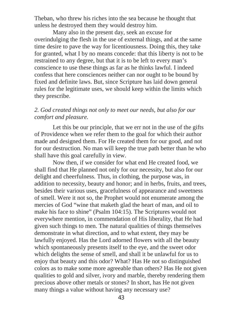Theban, who threw his riches into the sea because he thought that unless he destroyed them they would destroy him.

Many also in the present day, seek an excuse for overindulging the flesh in the use of external things, and at the same time desire to pave the way for licentiousness. Doing this, they take for granted, what I by no means concede: that this liberty is not to be restrained to any degree, but that it is to be left to every man's conscience to use these things as far as he thinks lawful. I indeed confess that here consciences neither can nor ought to be bound by fixed and definite laws. But, since Scripture has laid down general rules for the legitimate uses, we should keep within the limits which they prescribe.

*2. God created things not only to meet our needs, but also for our comfort and pleasure.*

Let this be our principle, that we err not in the use of the gifts of Providence when we refer them to the goal for which their author made and designed them. For He created them for our good, and not for our destruction. No man will keep the true path better than he who shall have this goal carefully in view.

Now then, if we consider for what end He created food, we shall find that He planned not only for our necessity, but also for our delight and cheerfulness. Thus, in clothing, the purpose was, in addition to necessity, beauty and honor; and in herbs, fruits, and trees, besides their various uses, gracefulness of appearance and sweetness of smell. Were it not so, the Prophet would not enumerate among the mercies of God "wine that maketh glad the heart of man, and oil to make his face to shine" (Psalm 104:15). The Scriptures would not everywhere mention, in commendation of His liberality, that He had given such things to men. The natural qualities of things themselves demonstrate in what direction, and to what extent, they may be lawfully enjoyed. Has the Lord adorned flowers with all the beauty which spontaneously presents itself to the eye, and the sweet odor which delights the sense of smell, and shall it be unlawful for us to enjoy that beauty and this odor? What? Has He not so distinguished colors as to make some more agreeable than others? Has He not given qualities to gold and silver, ivory and marble, thereby rendering them precious above other metals or stones? In short, has He not given many things a value without having any necessary use?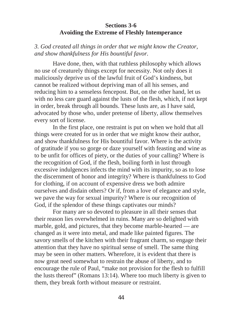# **Sections 3-6 Avoiding the Extreme of Fleshly Intemperance**

*3. God created all things in order that we might know the Creator, and show thankfulness for His bountiful favor.*

Have done, then, with that ruthless philosophy which allows no use of creaturely things except for necessity. Not only does it maliciously deprive us of the lawful fruit of God's kindness, but cannot be realized without depriving man of all his senses, and reducing him to a senseless fencepost. But, on the other hand, let us with no less care guard against the lusts of the flesh, which, if not kept in order, break through all bounds. These lusts are, as I have said, advocated by those who, under pretense of liberty, allow themselves every sort of license.

In the first place, one restraint is put on when we hold that all things were created for us in order that we might know their author, and show thankfulness for His bountiful favor. Where is the activity of gratitude if you so gorge or daze yourself with feasting and wine as to be unfit for offices of piety, or the duties of your calling? Where is the recognition of God, if the flesh, boiling forth in lust through excessive indulgences infects the mind with its impurity, so as to lose the discernment of honor and integrity? Where is thankfulness to God for clothing, if on account of expensive dress we both admire ourselves and disdain others? Or if, from a love of elegance and style, we pave the way for sexual impurity? Where is our recognition of God, if the splendor of these things captivates our minds?

For many are so devoted to pleasure in all their senses that their reason lies overwhelmed in ruins. Many are so delighted with marble, gold, and pictures, that they become marble-hearted — are changed as it were into metal, and made like painted figures. The savory smells of the kitchen with their fragrant charm, so engage their attention that they have no spiritual sense of smell. The same thing may be seen in other matters. Wherefore, it is evident that there is now great need somewhat to restrain the abuse of liberty, and to encourage the rule of Paul, "make not provision for the flesh to fulfill the lusts thereof" (Romans 13:14). Where too much liberty is given to them, they break forth without measure or restraint.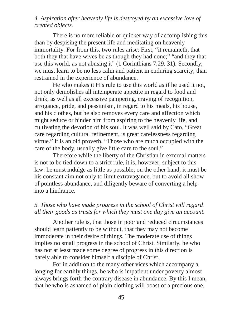# *4. Aspiration after heavenly life is destroyed by an excessive love of created objects.*

There is no more reliable or quicker way of accomplishing this than by despising the present life and meditating on heavenly immortality. For from this, two rules arise: First, "it remaineth, that both they that have wives be as though they had none;" "and they that use this world, as not abusing it" (1 Corinthians 7:29, 31). Secondly, we must learn to be no less calm and patient in enduring scarcity, than restrained in the experience of abundance.

He who makes it His rule to use this world as if he used it not, not only demolishes all intemperate appetite in regard to food and drink, as well as all excessive pampering, craving of recognition, arrogance, pride, and pessimism, in regard to his meals, his house, and his clothes, but he also removes every care and affection which might seduce or hinder him from aspiring to the heavenly life, and cultivating the devotion of his soul. It was well said by Cato, "Great care regarding cultural refinement, is great carelessness regarding virtue." It is an old proverb, "Those who are much occupied with the care of the body, usually give little care to the soul."

Therefore while the liberty of the Christian in external matters is not to be tied down to a strict rule, it is, however, subject to this law: he must indulge as little as possible; on the other hand, it must be his constant aim not only to limit extravagance, but to avoid all show of pointless abundance, and diligently beware of converting a help into a hindrance.

# *5. Those who have made progress in the school of Christ will regard all their goods as trusts for which they must one day give an account.*

Another rule is, that those in poor and reduced circumstances should learn patiently to be without, that they may not become immoderate in their desire of things. The moderate use of things implies no small progress in the school of Christ. Similarly, he who has not at least made some degree of progress in this direction is barely able to consider himself a disciple of Christ.

For in addition to the many other vices which accompany a longing for earthly things, he who is impatient under poverty almost always brings forth the contrary disease in abundance. By this I mean, that he who is ashamed of plain clothing will boast of a precious one.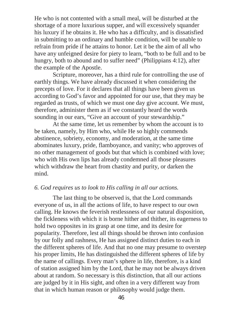He who is not contented with a small meal, will be disturbed at the shortage of a more luxurious supper, and will excessively squander his luxury if he obtains it. He who has a difficulty, and is dissatisfied in submitting to an ordinary and humble condition, will be unable to refrain from pride if he attains to honor. Let it be the aim of all who have any unfeigned desire for piety to learn, "both to be full and to be hungry, both to abound and to suffer need" (Philippians 4:12), after the example of the Apostle.

Scripture, moreover, has a third rule for controlling the use of earthly things. We have already discussed it when considering the precepts of love. For it declares that all things have been given us according to God's favor and appointed for our use, that they may be regarded as trusts, of which we must one day give account. We must, therefore, administer them as if we constantly heard the words sounding in our ears, "Give an account of your stewardship."

At the same time, let us remember by whom the account is to be taken, namely, by Him who, while He so highly commends abstinence, sobriety, economy, and moderation, at the same time abominates luxury, pride, flamboyance, and vanity; who approves of no other management of goods but that which is combined with love; who with His own lips has already condemned all those pleasures which withdraw the heart from chastity and purity, or darken the mind.

#### *6. God requires us to look to His calling in all our actions.*

The last thing to be observed is, that the Lord commands everyone of us, in all the actions of life, to have respect to our own calling. He knows the feverish restlessness of our natural disposition, the fickleness with which it is borne hither and thither, its eagerness to hold two opposites in its grasp at one time, and its desire for popularity. Therefore, lest all things should be thrown into confusion by our folly and rashness, He has assigned distinct duties to each in the different spheres of life. And that no one may presume to overstep his proper limits, He has distinguished the different spheres of life by the name of callings. Every man's sphere in life, therefore, is a kind of station assigned him by the Lord, that he may not be always driven about at random. So necessary is this distinction, that all our actions are judged by it in His sight, and often in a very different way from that in which human reason or philosophy would judge them.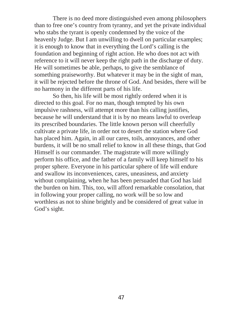There is no deed more distinguished even among philosophers than to free one's country from tyranny, and yet the private individual who stabs the tyrant is openly condemned by the voice of the heavenly Judge. But I am unwilling to dwell on particular examples; it is enough to know that in everything the Lord's calling is the foundation and beginning of right action. He who does not act with reference to it will never keep the right path in the discharge of duty. He will sometimes be able, perhaps, to give the semblance of something praiseworthy. But whatever it may be in the sight of man, it will be rejected before the throne of God. And besides, there will be no harmony in the different parts of his life.

So then, his life will be most rightly ordered when it is directed to this goal. For no man, though tempted by his own impulsive rashness, will attempt more than his calling justifies, because he will understand that it is by no means lawful to overleap its prescribed boundaries. The little known person will cheerfully cultivate a private life, in order not to desert the station where God has placed him. Again, in all our cares, toils, annoyances, and other burdens, it will be no small relief to know in all these things, that God Himself is our commander. The magistrate will more willingly perform his office, and the father of a family will keep himself to his proper sphere. Everyone in his particular sphere of life will endure and swallow its inconveniences, cares, uneasiness, and anxiety without complaining, when he has been persuaded that God has laid the burden on him. This, too, will afford remarkable consolation, that in following your proper calling, no work will be so low and worthless as not to shine brightly and be considered of great value in God's sight.